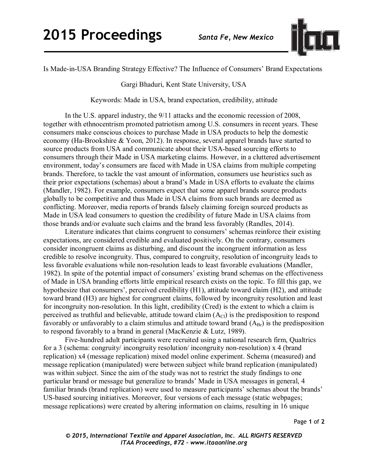

Is Made-in-USA Branding Strategy Effective? The Influence of Consumers' Brand Expectations

Gargi Bhaduri, Kent State University, USA

Keywords: Made in USA, brand expectation, credibility, attitude

In the U.S. apparel industry, the 9/11 attacks and the economic recession of 2008, together with ethnocentrism promoted patriotism among U.S. consumers in recent years. These consumers make conscious choices to purchase Made in USA products to help the domestic economy (Ha-Brookshire & Yoon, 2012). In response, several apparel brands have started to source products from USA and communicate about their USA-based sourcing efforts to consumers through their Made in USA marketing claims. However, in a cluttered advertisement environment, today's consumers are faced with Made in USA claims from multiple competing brands. Therefore, to tackle the vast amount of information, consumers use heuristics such as their prior expectations (schemas) about a brand's Made in USA efforts to evaluate the claims (Mandler, 1982). For example, consumers expect that some apparel brands source products globally to be competitive and thus Made in USA claims from such brands are deemed as conflicting. Moreover, media reports of brands falsely claiming foreign sourced products as Made in USA lead consumers to question the credibility of future Made in USA claims from those brands and/or evaluate such claims and the brand less favorably (Randles, 2014).

Literature indicates that claims congruent to consumers' schemas reinforce their existing expectations, are considered credible and evaluated positively. On the contrary, consumers consider incongruent claims as disturbing, and discount the incongruent information as less credible to resolve incongruity. Thus, compared to congruity, resolution of incongruity leads to less favorable evaluations while non-resolution leads to least favorable evaluations (Mandler, 1982). In spite of the potential impact of consumers' existing brand schemas on the effectiveness of Made in USA branding efforts little empirical research exists on the topic. To fill this gap, we hypothesize that consumers', perceived credibility (H1), attitude toward claim (H2), and attitude toward brand (H3) are highest for congruent claims, followed by incongruity resolution and least for incongruity non-resolution. In this light, credibility (Cred) is the extent to which a claim is perceived as truthful and believable, attitude toward claim  $(A<sub>Cl</sub>)$  is the predisposition to respond favorably or unfavorably to a claim stimulus and attitude toward brand  $(A_{\text{Br}})$  is the predisposition to respond favorably to a brand in general (MacKenzie & Lutz, 1989).

Five-hundred adult participants were recruited using a national research firm, Qualtrics for a 3 (schema: congruity/ incongruity resolution/ incongruity non-resolution) x 4 (brand replication) x4 (message replication) mixed model online experiment. Schema (measured) and message replication (manipulated) were between subject while brand replication (manipulated) was within subject. Since the aim of the study was not to restrict the study findings to one particular brand or message but generalize to brands' Made in USA messages in general, 4 familiar brands (brand replication) were used to measure participants' schemas about the brands' US-based sourcing initiatives. Moreover, four versions of each message (static webpages; message replications) were created by altering information on claims, resulting in 16 unique

Page **1** of **2** 

*© 2015, International Textile and Apparel Association, Inc. ALL RIGHTS RESERVED ITAA Proceedings, #72 – www.itaaonline.org*